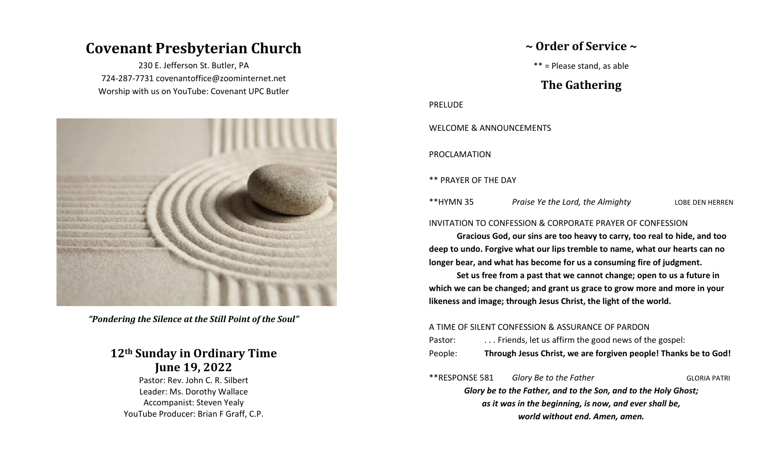# **Covenant Presbyterian Church**

230 E. Jefferson St. Butler, PA 724-287-7731 covenantoffice@zoominternet.net Worship with us on YouTube: Covenant UPC Butler



*"Pondering the Silence at the Still Point of the Soul"*

## **12th Sunday in Ordinary Time June 19, 2022**

Pastor: Rev. John C. R. Silbert Leader: Ms. Dorothy Wallace Accompanist: Steven Yealy YouTube Producer: Brian F Graff, C.P.

## **~ Order of Service ~**

\*\* = Please stand, as able

## **The Gathering**

PRELUDE

WELCOME & ANNOUNCEMENTS

PROCLAMATION

\*\* PRAYER OF THE DAY

\*\*HYMN 35 *Praise Ye the Lord, the Almighty* LOBE DEN HERREN

### INVITATION TO CONFESSION & CORPORATE PRAYER OF CONFESSION

**Gracious God, our sins are too heavy to carry, too real to hide, and too deep to undo. Forgive what our lips tremble to name, what our hearts can no longer bear, and what has become for us a consuming fire of judgment.**

**Set us free from a past that we cannot change; open to us a future in which we can be changed; and grant us grace to grow more and more in your likeness and image; through Jesus Christ, the light of the world.**

### A TIME OF SILENT CONFESSION & ASSURANCE OF PARDON

Pastor: ... Friends, let us affirm the good news of the gospel:

People: **Through Jesus Christ, we are forgiven people! Thanks be to God!**

\*\*RESPONSE 581 *Glory Be to the Father* GLORIA PATRI *Glory be to the Father, and to the Son, and to the Holy Ghost; as it was in the beginning, is now, and ever shall be, world without end. Amen, amen.*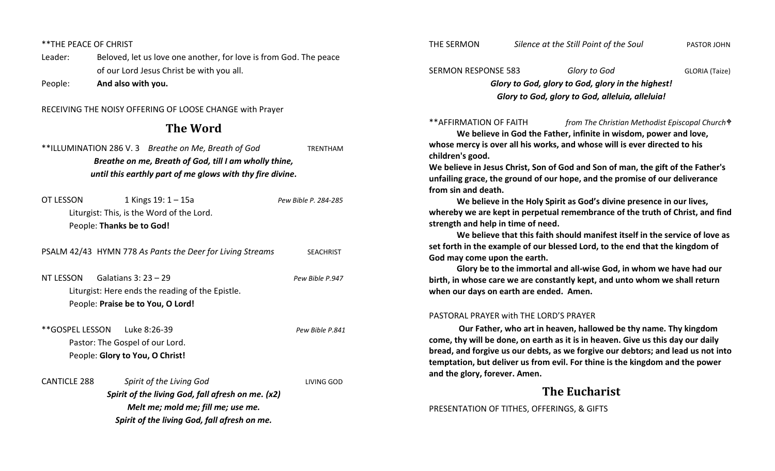\*\*THE PEACE OF CHRIST

Leader: Beloved, let us love one another, for love is from God. The peace of our Lord Jesus Christ be with you all.

People: **And also with you.**

RECEIVING THE NOISY OFFERING OF LOOSE CHANGE with Prayer

**The Word**

|                     | **ILLUMINATION 286 V.3 Breathe on Me, Breath of God       | <b>TRENTHAM</b>      |
|---------------------|-----------------------------------------------------------|----------------------|
|                     | Breathe on me, Breath of God, till I am wholly thine,     |                      |
|                     | until this earthly part of me glows with thy fire divine. |                      |
| OT LESSON           | 1 Kings $19:1 - 15a$                                      | Pew Bible P. 284-285 |
|                     | Liturgist: This, is the Word of the Lord.                 |                      |
|                     | People: Thanks be to God!                                 |                      |
|                     | PSALM 42/43 HYMN 778 As Pants the Deer for Living Streams | <b>SEACHRIST</b>     |
| NT LESSON           | Galatians $3:23-29$                                       | Pew Bible P.947      |
|                     | Liturgist: Here ends the reading of the Epistle.          |                      |
|                     | People: Praise be to You, O Lord!                         |                      |
|                     | **GOSPEL LESSON Luke 8:26-39                              | Pew Bible P.841      |
|                     | Pastor: The Gospel of our Lord.                           |                      |
|                     | People: Glory to You, O Christ!                           |                      |
| <b>CANTICLE 288</b> | Spirit of the Living God                                  | LIVING GOD           |
|                     | Spirit of the living God, fall afresh on me. (x2)         |                      |
|                     | Melt me; mold me; fill me; use me.                        |                      |
|                     | Spirit of the living God, fall afresh on me.              |                      |

THE SERMON *Silence at the Still Point of the Soul* PASTOR JOHN

## SERMON RESPONSE 583 *Glory to God* GLORIA (Taize) *Glory to God, glory to God, glory in the highest! Glory to God, glory to God, alleluia, alleluia!*

\*\*AFFIRMATION OF FAITH *from The Christian Methodist Episcopal Church*

**We believe in God the Father, infinite in wisdom, power and love, whose mercy is over all his works, and whose will is ever directed to his children's good.**

**We believe in Jesus Christ, Son of God and Son of man, the gift of the Father's unfailing grace, the ground of our hope, and the promise of our deliverance from sin and death.**

**We believe in the Holy Spirit as God's divine presence in our lives, whereby we are kept in perpetual remembrance of the truth of Christ, and find strength and help in time of need.**

**We believe that this faith should manifest itself in the service of love as set forth in the example of our blessed Lord, to the end that the kingdom of God may come upon the earth.** 

**Glory be to the immortal and all-wise God, in whom we have had our birth, in whose care we are constantly kept, and unto whom we shall return when our days on earth are ended. Amen.**

#### PASTORAL PRAYER with THE LORD'S PRAYER

**Our Father, who art in heaven, hallowed be thy name. Thy kingdom come, thy will be done, on earth as it is in heaven. Give us this day our daily bread, and forgive us our debts, as we forgive our debtors; and lead us not into temptation, but deliver us from evil. For thine is the kingdom and the power and the glory, forever. Amen.**

## **The Eucharist**

PRESENTATION OF TITHES, OFFERINGS, & GIFTS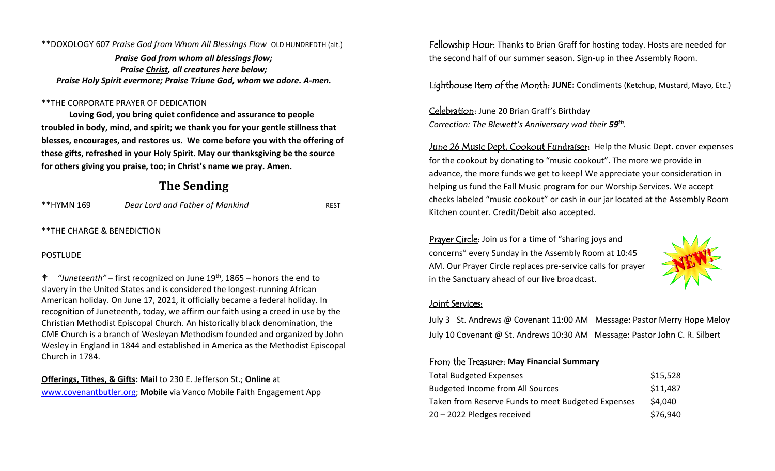\*\*DOXOLOGY 607 *Praise God from Whom All Blessings Flow* OLD HUNDREDTH (alt.)

*Praise God from whom all blessings flow; Praise Christ, all creatures here below; Praise Holy Spirit evermore; Praise Triune God, whom we adore. A-men.*

### \*\*THE CORPORATE PRAYER OF DEDICATION

**Loving God, you bring quiet confidence and assurance to people troubled in body, mind, and spirit; we thank you for your gentle stillness that blesses, encourages, and restores us. We come before you with the offering of these gifts, refreshed in your Holy Spirit. May our thanksgiving be the source for others giving you praise, too; in Christ's name we pray. Amen.**

## **The Sending**

| **HYMN 169 | Dear Lord and Father of Mankind | <b>REST</b> |
|------------|---------------------------------|-------------|
|------------|---------------------------------|-------------|

\*\*THE CHARGE & BENEDICTION

### **POSTLUDE**

 *"Juneteenth"* – first recognized on June 19th, 1865 – honors the end to slavery in the United States and is considered the longest-running African American holiday. On June 17, 2021, it officially became a federal holiday. In recognition of Juneteenth, today, we affirm our faith using a creed in use by the Christian Methodist Episcopal Church. An historically black denomination, the CME Church is a branch of Wesleyan Methodism founded and organized by John Wesley in England in 1844 and established in America as the Methodist Episcopal Church in 1784.

**Offerings, Tithes, & Gifts: Mail** to 230 E. Jefferson St.; **Online** at [www.covenantbutler.org;](http://www.covenantbutler.org/) **Mobile** via Vanco Mobile Faith Engagement App Fellowship Hour: Thanks to Brian Graff for hosting today. Hosts are needed for the second half of our summer season. Sign-up in thee Assembly Room.

Lighthouse Item of the Month: **JUNE:** Condiments (Ketchup, Mustard, Mayo, Etc.)

Celebration: June 20 Brian Graff's Birthday *Correction: The Blewett's Anniversary wad their 59th .*

June 26 Music Dept. Cookout Fundraiser: Help the Music Dept. cover expenses for the cookout by donating to "music cookout". The more we provide in advance, the more funds we get to keep! We appreciate your consideration in helping us fund the Fall Music program for our Worship Services. We accept checks labeled "music cookout" or cash in our jar located at the Assembly Room Kitchen counter. Credit/Debit also accepted.

Prayer Circle: Join us for a time of "sharing joys and concerns" every Sunday in the Assembly Room at 10:45 AM. Our Prayer Circle replaces pre-service calls for prayer in the Sanctuary ahead of our live broadcast.



#### Joint Services:

July 3 St. Andrews @ Covenant 11:00 AM Message: Pastor Merry Hope Meloy July 10 Covenant @ St. Andrews 10:30 AM Message: Pastor John C. R. Silbert

## From the Treasurer: **May Financial Summary**

| <b>Total Budgeted Expenses</b>                     | \$15,528 |
|----------------------------------------------------|----------|
| <b>Budgeted Income from All Sources</b>            | \$11,487 |
| Taken from Reserve Funds to meet Budgeted Expenses | \$4,040  |
| 20 - 2022 Pledges received                         | \$76,940 |